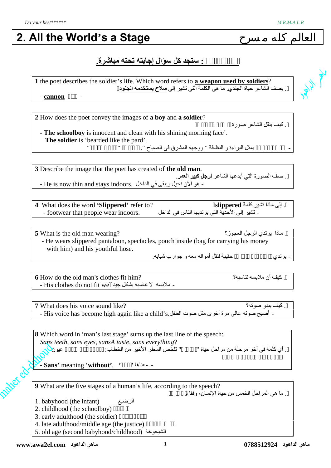**PLANE** 

## **2. All the World's a Stage**

### **.مباشرة تحتھ إجابتھ سؤال كل ستجد :الكتاب أسئلة**

**1** the poet describes the soldier's life. Which word refers to **a weapon used by soldiers**? . يصف الشاعر حياة الجندي. ما هي الكلمة التي تشير إلى **سلاح يستخدمه الجنود** 

**- cannon** مدفع -

**2** How does the poet convey the images of **a boy** and **a soldier**?

**- The schoolboy** is innocent and clean with his shining morning face'. **The soldier** is 'bearded like the pard'. "كالنمر ي ملت "،**الجندي** . "الصباح في المشرق ووجھھ " النظافة و البراءة یمثل **المدرسة طالب -**

**3** Describe the image that the poet has created of **the old man**. . صف الصورة التي أبدعها الشاعر **لرجل كبير العمر**. **-** He is now thin and stays indoors. الداخل في ویبقى نحیل الآن ھو -

**4** What does the word **'Slippered'** refer to? ؟**slippered** كلمة تشیر ماذا إلى . - footwear that people wear indoors. الداخل في الناس یرتدیھا التي الأحذیة إلى تشیر -

**5** What is the old man wearing? العجوز؟ الرجل یرتدي ماذا . - He wears slippered pantaloon, spectacles, pouch inside (bag for carrying his money with him) and his youthful hose.

.شبابھ جوارب و معھ أموالھ لنقل حقیبة ،نظارات بنطلون یرتدي -

**6** How do the old man's clothes fit him? تناسبھ؟ ملابسھ أن كیف . - His clothes do not fit wellجید بشكل تناسبھ لا ملابسھ -

**والجندي الصبي** صورة الشاعر ینقل كیف .

**7** What does his voice sound like? صوتھ؟ یبدو كیف . - أصبح صوته عالي مرة أخرى مثل صوت الطفل.Khis voice has become high again like a child's.

**8** Which word in 'man's last stage' sums up the last line of the speech: *Sans teeth, sans eyes, sansA taste, sans everything*? . أي كلمة في آخر مر حلة من مر احل حیاة " اللّخص السطر الأخیر من الخطاب: "

**- Sans'** meaning '**without'**, **'بدون '**معناھا -

**9** What are the five stages of a human's life, according to the speech?

الله (infant) با هي المراحل الخمس من حياة الإنسان، وفقا لمراحل الخمس من حياة الإنسان وفقا لمرياح بن من حياة ال<br>الرضيع

- 2. childhood (the schoolboy)
- 3. early adulthood (the soldier)
- 4. late adulthood/middle age (the justice)
- 5. old age (second babyhood/childhood) الشیخوخة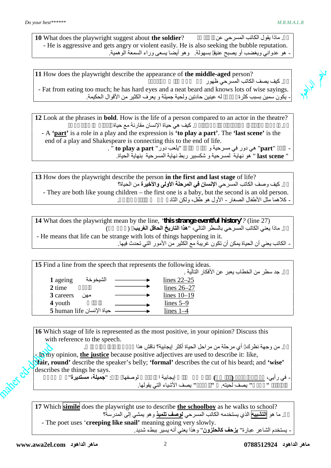**10** What does the playwright suggest about **the soldier**? **الجندي**؟ عن المسرحي الكاتب یقول ماذا .١٠ - He is aggressive and gets angry or violent easily. He is also seeking the bubble reputation.

?person **aged-middle the** of appearance the describe playwright the does How **<sup>11</sup>** - ھو عدواني ویغضب أو یصبح عنیف بسھولة. وھو أیضا یسعى وراء السمعة الوھمیة. .١١ كیف یصف الكاتب المسرحي ظھور **شخص في منتصف العمر** - Fat from eating too much; he has hard eyes and a neat beard and knows lots of wise sayings. . يكون سمين بسبب كثرة مسمى له عينين حادتين ولحية جميلة و يعرف الكثير من الأقوال الحكيمة.

**12** Look at the phrases in **bold**. How is the life of a person compared to an actor in the theatre? . كيف هي حياة الإنسان مقارنة مع حياة

- A **'part'** is a role in a play and the expression is **'to play a part'**. The **'last scene'** is the end of a play and Shakespeare is connecting this to the end of life.

> - كلمة "**part** "ھي دور في مسرحیة و كذلك عبارة "یلعب دور" **part a play to** ". .الحیاة بنھایة المسرحیة نھایة ربط شكسبیر و لمسرحیة نھایة ھو" **last scene** "

**13** How does the playwright describe the person **in the first and last stage** of life? .١٣ كیف وصف الكاتب المسرحي **الإنسان في المرحلة الأولى والأخیرة** من الحیاة؟ - They are both like young children – the first one is a baby, but the second is an old person.

(27 line*'?* (*history eventful strange this '*,line the by mean playwright the does What **<sup>14</sup>** - كلاھما مثل الأطفال الصغار - الأول ھو طفل، ولكن الثاني شخص متقدم في السن. .١٤ ماذا یعني الكاتب المسرحي بالسطر التالي، "**ھذا التاریخ الحافل الغریب**؟ (سطر ٢٧) - He means that life can be strange with lots of things happening in it.

.ideas following the represents that speech the from line a Find **<sup>15</sup>** - الكاتب یعني أن الحیاة یمكن أن تكون غریبة مع الكثیر من الأمور التي تحدث فیھا. .١٥ جد سطر من الخطاب یعبر عن الأفكار التالیة . **1** ageing الشیخوخة lines 22–25 2 time  $\overline{\qquad \qquad }$  lines 26–27 **3** careers مھن lines 10–19 **4** youth  $\qquad \qquad \qquad \qquad$  lines 5–9 **5** human life الإنسان حیاة lines 1–4

**16** Which stage of life is represented as the most positive, in your opinion? Discuss this with reference to the speech.

. من وجهة نظرك أي مرحلة من مراحل الحياة أكثر إيجابية؟ ناقش هذا **-** In my opinion, **the justice** because positive adjectives are used to describe it: like, '**fair, round'** describe the speaker's belly; **'formal'** describes the cut of his beard; and **'wise'** describes the things he says.

- في رأیي، **مرحلة الحكمة (القاضي)** وذلك لأن صفات إیجابیة استخدم لوصفھا، مثل: "**جمیلة، مستدیرة**" تصف بطن المتكلم؛ **"**رسمي**"** یصف لحیتھ. و **"**الحكمة**"** یصف الأشیاء التي یقولھا.

**17** Which **simile** does the playwright use to describe **the schoolboy** as he walks to school? .١٧ ما ھو **التشبیھ** الذي یستخدمھ الكاتب المسرحي **لوصف تلمیذ** وھو یمشي إلى المدرسة؟ - The poet uses '**creeping like snail'** meaning going very slowly. - یستخدم الشاعر عبارة" **یزحف كالحلزون**" وھذا یعني أنھ یسیر ببطء شدید.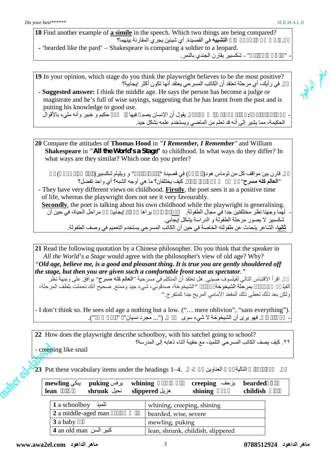| 18 Find another example of a simile in the speech. Which two things are being compared? |              |  |
|-----------------------------------------------------------------------------------------|--------------|--|
| ا <b>لتشبيه</b> في القصبدة. أي شبئين يجر ي المقارنة بينهما؟                             |              |  |
| - 'bearded like the pard' – Shakespeare is comparing a soldier to a leopard.            |              |  |
| " - شكسبير يقارن الجندي بالنمر .                                                        | $\mathbf{H}$ |  |

19 In your opinion, which stage do you think the playwright believes to be the most positive?<br>في رأيك، أي مرحلة تعتقد أن الكاتب المسرحي يعتقد أنها تكون أكثر إيجابية؟<br>**11** Suggested answer: I think the middle age. He says .١٩ في رأیك، أي مرحلة تعتقد أن الكاتب المسرحي یعتقد أنھا تكون أكثر إیجابیة؟

- **Suggested answer:** I think the middle age. He says the person has become a judge or magistrate and he's full of wise sayings, suggesting that he has learnt from the past and is putting his knowledge to good use.

- **الإجابة المقترحة:** أعتقد مرحلة منتصف العمر. یقول أن الإنسان یصب فیھا قاض أو حكیم و خبیر وأنھ مليء بالأقوال الحكیمة، مما یشیر إلى أنھ قد تعلم من الماضي ویستخدم علمھ بشكل جید.

**20** Compare the attitudes of **Thomas Hood** in *"I Remember, I Remember"* and William **Shakespeare** in *"All the World's a Stage"* to childhood. In what ways do they differ? In what ways are they similar? Which one do you prefer?

.٢٠ قارن بین مواقف كل من توماس ھود(الشاعر) في قصیدة "**أتذكر**، **أتذكر**" و ویلیام شكسبیر(الكاتب المسرحي) في "**العالم كلھ مسرح**" بخصوص مرحلة الطفولة. كیف یختلفان؟ ما ھي أوجھ الشبھ؟ أي واحد تفضل؟

- They have very different views on childhood. **Firstly**, the poet sees it as a positive time of life, whereas the playwright does not see it very favourably.

**Secondly**, the poet is talking about his own childhood while the playwright is generalising. - لھما وجھتا نظر مختلفتین جدا في مجال الطفولة. **أولا**، الشاعر یراھا مرحلة إیجابی من مراحل الحیاة، في حین أن شكسبیر لا یصور مرحلة الطفولة و الدراسة یشكل إیجابي. **ثانیا**، الشاعر یتحدث عن طفولتھ الخاصة في حین أن الكاتب المسرحي یستخدم التعمیم في وصف الطفولة.

**21** Read the following quotation by a Chinese philosopher. Do you think that the speaker in *All the World's a Stage* would agree with the philosopher's view of old age? Why? *"Old age, believe me, is a good and pleasant thing. It is true you are gently shouldered off the stage, but then you are given such a comfortable front seat as spectator."*

.٢١ اقرأ الاقتباس التالي لفیلسوف صیني. ھل تعتقد أن المتكلم في مسرحیة "**العالم كلھ مسرح**" یوافق على وجھة نظر ولكن بعد ذلك تعطى ذلك المقعد الأمامي المریح جدا كمتفرج.**"** الفیلسوف المتعلقة بمرحلة الشیخوخة؟ لماذا؟ **"**الشیخوخة، صدقوني، شيء جید وممتع. صحیح أنك تحملت بلطف المرحلة،

- I don't think so. He sees old age a nothing but a low. ("… mere oblivion", "sans everything").

22 How does the playwright describe schoolboy, with his satchel going to school? **.٢٢ كیف یصف الكاتب المسرحي التلمیذ، مع حقیبة أثناء ذھابھ إلى المدرسة؟**

- creeping like snail

ملت **bearded** یزحف **creeping** منتحب، باكي **whining** یرفس **puking** یبكي **mewling** .٢٣ ضع المفردات التالیة تحت العناوین من - . 4.–<sup>1</sup> headings the under items vocabulary these Put **<sup>23</sup>**

|          | بیکی mewling<br>lean   | برفس puking<br>shrunk نحيل | whining<br>slippered مزيل         | يزحف creeping<br>shining   | <b>bearded</b><br>childish |
|----------|------------------------|----------------------------|-----------------------------------|----------------------------|----------------------------|
|          | تلميذ 1 a schoolboy    |                            |                                   | whining, creeping, shining |                            |
|          | 2 a middle-aged man    |                            | bearded, wise, severe             |                            |                            |
| 3 a baby |                        | mewling, puking            |                                   |                            |                            |
|          | 4 an old man كبير السن |                            | lean, shrunk, childish, slippered |                            |                            |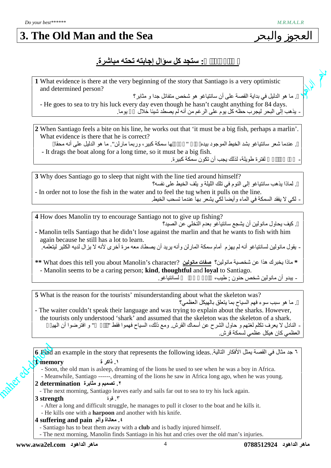### **3. The Old Man and the Sea**

#### **.مباشرة تحتھ إجابتھ سؤال كل ستجد :الكتاب أسئلة**

**1** What evidence is there at the very beginning of the story that Santiago is a very optimistic and determined person?

. ما هو الدليل في بداية القصة على أن سانتياغو هو شخص متفائل جدا و مثابر ؟

- He goes to sea to try his luck every day even though he hasn't caught anything for 84 days. . يذهب إلى البحر ليجرب حظه كل يوم على الرغم من أنه لم يصطد شيئا خلال يوما.

**2** When Santiago feels a bite on his line, he works out that 'it must be a big fish, perhaps a marlin'. What evidence is there that he is correct?

. عندما شعر سانتیاغو بشد الخیط الموجود بیده « " ما ها سمكة كبیر، وربما مارلن". ما هو الدلیل على أنه محقا "<br>It drags the boat along for a long time, so it must be a big fish.

لفتر ة طو بلة، لذلك بجب أن تكون سمكة كبير ة.

**3** Why does Santiago go to sleep that night with the line tied around himself? . لماذا يذهب سانتياغو إلى النوم في تلك الليلة و يلف الخيط على نفسه؟ - In order not to lose the fish in the water and to feel the tug when it pulls on the line.<br>- لكي لا يفقد السمكة في الماء وأيضا لكي يشعر بها عندما تسحب الخيط.

4 How does Manolin try to encourage Santiago not to give up fishing? . كيف يحاول مانولين أن يشجع سانتياغو بعدم التخلي عن الصيد؟

**-** Manolin tells Santiago that he didn't lose against the marlin and that he wants to fish with him again because he still has a lot to learn.

\* ماذا يخبرك هذا عن شخصية مانولين؟ <mark>صفات مانولين</mark> ?What does this tell you about Manolin's character \*\* - Manolin seems to be a caring person; **kind**, **thoughtful** and **loyal** to Santiago. . بيدو أن مانو لين شخص حنون : طيب، نسمت مسانتياغو .

**5** What is the reason for the tourists' misunderstanding about what the skeleton was? . ما هو سبب سوء فهم السياح بما يتعلق بالهيكل العظمى؟

- The waiter couldn't speak their language and was trying to explain about the sharks. However, the tourists only understood 'shark' and assumed that the skeleton was the skeleton of a shark. - النادل لا یعرف تكلم لغتھم و حاول الشرح عن أسماك القرش<sub>.</sub> ومع ذلك، السياح فھموا فقط " " و افترضوا أن ال<u>هي</u> العظمي كان ھیكل عظمي لسمكة قرش.

**ماھر الداھود 0788512924** 4 **ماھر الداھود com.el2awa.www 6** Find an example in the story that represents the following ideas..التالیة الأفكار یمثل القصة في مثال جد ٦ **.١ ذاكر ة memory 1** - Soon, the old man is asleep, dreaming of the lions he used to see when he was a boy in Africa. - Meanwhile, Santiago ------, dreaming of the lions he saw in Africa long ago, when he was young. **.٢ تصمیم و مثابرة determination 2** - The next morning, Santiago leaves early and sails far out to sea to try his luck again. .٣ قوة **strength 3** - After a long and difficult struggle, he manages to pull it closer to the boat and he kills it. - He kills one with a **harpoon** and another with his knife. **4 suffering and pain وألم معاناة .٤** - Santiago has to beat them away with a **club** and is badly injured himself. - The next morning, Manolin finds Santiago in his hut and cries over the old man's injuries.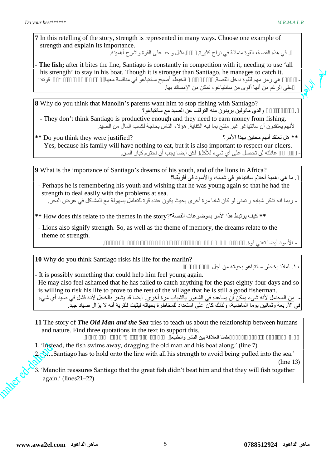**7** In this retelling of the story, strength is represented in many ways. Choose one example of strength and explain its importance.

. في هذه القصـة، القوة متمثلـة في نواح كثيرة . مثال واحد علـي القوة واشرح أهميته .

- **The fish;** after it bites the line, Santiago is constantly in competition with it, needing to use 'all his strength' to stay in his boat. Though it is stronger than Santiago, he manages to catch it. هي رمز مهم للقوة داخل القصة. بعد أن بلعت الخیط، أصیح سانتیاغو في منافسة معها، احتاج الله عنه الحتاج إلى استخدا على الرغم من أنھا أقوى من سانتیاغو، تمكن من الإمساك بھا.

**8** Why do you think that Manolin's parents want him to stop fishing with Santiago? والدي مانولين يريدون منه التوقف عن الصيد مع سانتياغو؟

- They don't think Santiago is productive enough and they need to earn money from fishing. لأنهم يعتقدون أن سانتياغو غير منتج بما فيه الكفاية<sub>.</sub> هؤلاء الناس بحاجة لكسب المال من الصيد<sub>.</sub><br>\*\* هل تعتقد أنهم محقين بهذا الأمر؟

- Yes, because his family will have nothing to eat, but it is also important to respect our elders. عائلته لن تحصل على أي شيء للأكل لكن أيضا يجب أن نحتر م كبار السن.

**9** What is the importance of Santiago's dreams of his youth, and of the lions in Africa? . ما هي أهمية أحلام سانتياغو في شبابه، والأسود في أفريقيا؟

- Perhaps he is remembering his youth and wishing that he was young again so that he had the strength to deal easily with the problems at sea.

**\*\*** كیف یرتبط ھذا الأمر بموضوعات القصة؟?story the in themes the to relate this does How **\*\*** - ربما انھ تذكر شبابھ و تمنى لو كان شابا مرة أخرى بحیث یكون عنده قوة للتعامل بسھولة مع المشاكل في عرض البحر.

- Lions also signify strength. So, as well as the theme of memory, the dreams relate to the theme of strength.

?marlin the for life his risks Santiago think you do Why **10** - الأسود أیضا تعني قوة. لذلك، فضلا عن موضوع الذاكرة، فأن الأحلام تتعلق بموضوع القوة.

١٠ لماذا يخاطر سانتياغو بحياته من أجل

**-** It is possibly something that could help him feel young again. He may also feel ashamed that he has failed to catch anything for the past eighty-four days and so is willing to risk his life to prove to the rest of the village that he is still a good fisherman. - من المحتمل لأنھ شيء یمكن أن یساعده في الشعور بالشباب مرة أخرى. أیضا قد یشعر بالخجل لأنھ فشل في صید أي شيء في الأربعة وثمانین یوما الماضیة، ولذلك كان على استعداد للمخاطرة بحیاتھ لیثبت للقریة أنھ لا یزال صیاد جید.

**11** The story of *The Old Man and the Sea* tries to teach us about the relationship between humans and nature. Find three quotations in the text to support this.

.١١ قصة **العجوز والبحر** حاول أن علمنا العلاقة بین البشر والطبیع . جد ثلاثة جمل"اقتباس" في النص لدعم ذلك.

- 1. 'Instead, the fish swims away, dragging the old man and his boat along.' (line 7)
- 2.  $\Diamond$ ….Santiago has to hold onto the line with all his strength to avoid being pulled into the sea.'

(line 13)

3. 'Manolin reassures Santiago that the great fish didn't beat him and that they will fish together again.' (lines21–22)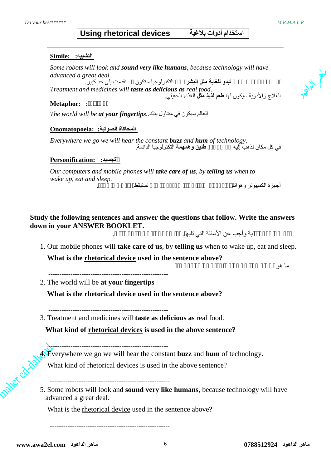**PLANT** 

#### **استخدام أدوات بلاغیة devices rhetorical Using**

| التشبيه: : Simile                                                                                                               |  |  |  |  |  |  |
|---------------------------------------------------------------------------------------------------------------------------------|--|--|--|--|--|--|
| Some robots will look and sound very like humans, because technology will have                                                  |  |  |  |  |  |  |
| advanced a great deal.                                                                                                          |  |  |  |  |  |  |
|                                                                                                                                 |  |  |  |  |  |  |
| Treatment and medicines will taste as delicious as real food.<br>العلاج والأدوية سيكون لها <b>طعم لذيذ مثلُ</b> الغذاء الحقيقي. |  |  |  |  |  |  |
| <b>Metaphor: :</b>                                                                                                              |  |  |  |  |  |  |
| The world will be <b>at your fingertip</b> s. المعالم سيكون في متناول بدك                                                       |  |  |  |  |  |  |
| Onomatopoeia: المحاكاة الصوتية:                                                                                                 |  |  |  |  |  |  |
| Everywhere we go we will hear the constant <b>buzz</b> and <b>hum</b> of technology.<br>في كل مكان نذهب آليه                    |  |  |  |  |  |  |
| Personification: تجسید:                                                                                                         |  |  |  |  |  |  |
| Our computers and mobile phones will <b>take care of us</b> , by <b>telling us</b> when to                                      |  |  |  |  |  |  |
| wake up, eat and sleep.                                                                                                         |  |  |  |  |  |  |
| ستنقظ<br>اُجهز ۃ الکمبيو تر۔و هو اتفـ                                                                                           |  |  |  |  |  |  |

**Study the following sentences and answer the questions that follow. Write the answers down in your ANSWER BOOKLET.**

- بـة و أجب عن الأسئلة التي تليھ .
- 1. Our mobile phones will **take care of us**, by **telling us** when to wake up, eat and sleep.  **What is the rhetorical device used in the sentence above?**

ما ھو الأسلوب البلاغي المستخدم في الجملة أعلاه؟

2. The world will be **at your fingertips**

 **What is the rhetorical device used in the sentence above?**

------------------------------------------------------

3. Treatment and medicines will **taste as delicious as** real food.

**What kind of rhetorical devices is used in the above sentence?**

------------------------------------------------------

4. Everywhere we go we will hear the constant **buzz** and **hum** of technology.

What kind of rhetorical devices is used in the above sentence?

------------------------------------------------------ 5. Some robots will look and **sound very like humans**, because technology will have advanced a great deal.

What is the rhetorical device used in the sentence above?

------------------------------------------------------